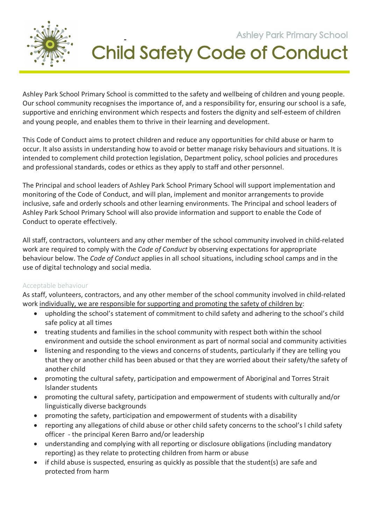

**Ashley Park Primary School** Child Safety Code of Conduct

**105 Orchard Road Doreen 3754**

Ashley Park School Primary School is committed to the safety and wellbeing of children and young people. Our school community recognises the importance of, and a responsibility for, ensuring our school is a safe, supportive and enriching environment which respects and fosters the dignity and self-esteem of children and young people, and enables them to thrive in their learning and development.

This Code of Conduct aims to protect children and reduce any opportunities for child abuse or harm to occur. It also assists in understanding how to avoid or better manage risky behaviours and situations. It is intended to complement child protection legislation, Department policy, school policies and procedures and professional standards, codes or ethics as they apply to staff and other personnel.

The Principal and school leaders of Ashley Park School Primary School will support implementation and monitoring of the Code of Conduct, and will plan, implement and monitor arrangements to provide inclusive, safe and orderly schools and other learning environments. The Principal and school leaders of Ashley Park School Primary School will also provide information and support to enable the Code of Conduct to operate effectively.

All staff, contractors, volunteers and any other member of the school community involved in child-related work are required to comply with the *Code of Conduct* by observing expectations for appropriate behaviour below. The *Code of Conduct* applies in all school situations, including school camps and in the use of digital technology and social media.

## Acceptable behaviour

As staff, volunteers, contractors, and any other member of the school community involved in child-related work individually, we are responsible for supporting and promoting the safety of children by:

- upholding the school's statement of commitment to child safety and adhering to the school's child safe policy at all times
- treating students and families in the school community with respect both within the school environment and outside the school environment as part of normal social and community activities
- listening and responding to the views and concerns of students, particularly if they are telling you that they or another child has been abused or that they are worried about their safety/the safety of another child
- promoting the cultural safety, participation and empowerment of Aboriginal and Torres Strait Islander students
- promoting the cultural safety, participation and empowerment of students with culturally and/or linguistically diverse backgrounds
- promoting the safety, participation and empowerment of students with a disability
- reporting any allegations of child abuse or other child safety concerns to the school's l child safety officer - the principal Keren Barro and/or leadership
- understanding and complying with all reporting or disclosure obligations (including mandatory reporting) as they relate to protecting children from harm or abuse
- if child abuse is suspected, ensuring as quickly as possible that the student(s) are safe and protected from harm